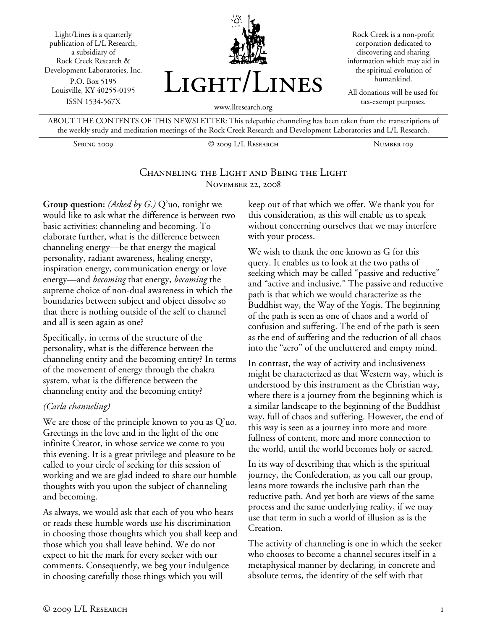Light/Lines is a quarterly publication of L/L Research, a subsidiary of Rock Creek Research & Development Laboratories, Inc. P.O. Box 5195 Louisville, KY 40255-0195 ISSN 1534-567X



Rock Creek is a non-profit corporation dedicated to discovering and sharing information which may aid in the spiritual evolution of humankind.

All donations will be used for tax-exempt purposes.

ABOUT THE CONTENTS OF THIS NEWSLETTER: This telepathic channeling has been taken from the transcriptions of the weekly study and meditation meetings of the Rock Creek Research and Development Laboratories and L/L Research.

Spring 2009 © 2009 L/L Research Number 109

#### Channeling the Light and Being the Light November 22, 2008

**Group question:** *(Asked by G.)* Q'uo, tonight we would like to ask what the difference is between two basic activities: channeling and becoming. To elaborate further, what is the difference between channeling energy—be that energy the magical personality, radiant awareness, healing energy, inspiration energy, communication energy or love energy—and *becoming* that energy, *becoming* the supreme choice of non-dual awareness in which the boundaries between subject and object dissolve so that there is nothing outside of the self to channel and all is seen again as one?

Specifically, in terms of the structure of the personality, what is the difference between the channeling entity and the becoming entity? In terms of the movement of energy through the chakra system, what is the difference between the channeling entity and the becoming entity?

#### *(Carla channeling)*

We are those of the principle known to you as Q'uo. Greetings in the love and in the light of the one infinite Creator, in whose service we come to you this evening. It is a great privilege and pleasure to be called to your circle of seeking for this session of working and we are glad indeed to share our humble thoughts with you upon the subject of channeling and becoming.

As always, we would ask that each of you who hears or reads these humble words use his discrimination in choosing those thoughts which you shall keep and those which you shall leave behind. We do not expect to hit the mark for every seeker with our comments. Consequently, we beg your indulgence in choosing carefully those things which you will

keep out of that which we offer. We thank you for this consideration, as this will enable us to speak without concerning ourselves that we may interfere with your process.

We wish to thank the one known as G for this query. It enables us to look at the two paths of seeking which may be called "passive and reductive" and "active and inclusive." The passive and reductive path is that which we would characterize as the Buddhist way, the Way of the Yogis. The beginning of the path is seen as one of chaos and a world of confusion and suffering. The end of the path is seen as the end of suffering and the reduction of all chaos into the "zero" of the uncluttered and empty mind.

In contrast, the way of activity and inclusiveness might be characterized as that Western way, which is understood by this instrument as the Christian way, where there is a journey from the beginning which is a similar landscape to the beginning of the Buddhist way, full of chaos and suffering. However, the end of this way is seen as a journey into more and more fullness of content, more and more connection to the world, until the world becomes holy or sacred.

In its way of describing that which is the spiritual journey, the Confederation, as you call our group, leans more towards the inclusive path than the reductive path. And yet both are views of the same process and the same underlying reality, if we may use that term in such a world of illusion as is the Creation.

The activity of channeling is one in which the seeker who chooses to become a channel secures itself in a metaphysical manner by declaring, in concrete and absolute terms, the identity of the self with that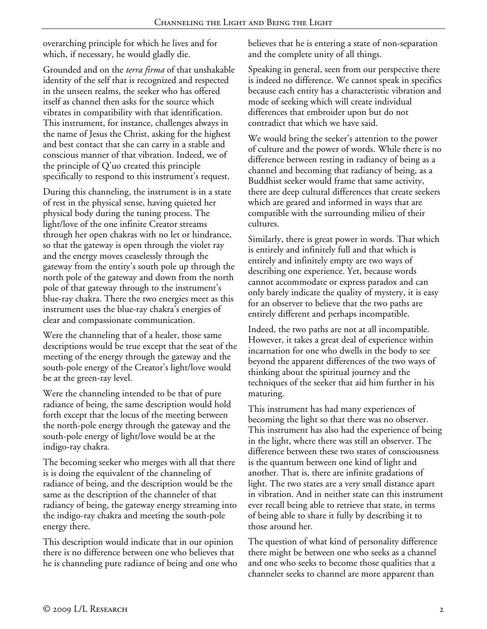overarching principle for which he lives and for which, if necessary, he would gladly die.

Grounded and on the *terra firma* of that unshakable identity of the self that is recognized and respected in the unseen realms, the seeker who has offered itself as channel then asks for the source which vibrates in compatibility with that identification. This instrument, for instance, challenges always in the name of Jesus the Christ, asking for the highest and best contact that she can carry in a stable and conscious manner of that vibration. Indeed, we of the principle of Q'uo created this principle specifically to respond to this instrument's request.

During this channeling, the instrument is in a state of rest in the physical sense, having quieted her physical body during the tuning process. The light/love of the one infinite Creator streams through her open chakras with no let or hindrance, so that the gateway is open through the violet ray and the energy moves ceaselessly through the gateway from the entity's south pole up through the north pole of the gateway and down from the north pole of that gateway through to the instrument's blue-ray chakra. There the two energies meet as this instrument uses the blue-ray chakra's energies of clear and compassionate communication.

Were the channeling that of a healer, those same descriptions would be true except that the seat of the meeting of the energy through the gateway and the south-pole energy of the Creator's light/love would be at the green-ray level.

Were the channeling intended to be that of pure radiance of being, the same description would hold forth except that the locus of the meeting between the north-pole energy through the gateway and the south-pole energy of light/love would be at the indigo-ray chakra.

The becoming seeker who merges with all that there is is doing the equivalent of the channeling of radiance of being, and the description would be the same as the description of the channeler of that radiancy of being, the gateway energy streaming into the indigo-ray chakra and meeting the south-pole energy there.

This description would indicate that in our opinion there is no difference between one who believes that he is channeling pure radiance of being and one who believes that he is entering a state of non-separation and the complete unity of all things.

Speaking in general, seen from our perspective there is indeed no difference. We cannot speak in specifics because each entity has a characteristic vibration and mode of seeking which will create individual differences that embroider upon but do not contradict that which we have said.

We would bring the seeker's attention to the power of culture and the power of words. While there is no difference between resting in radiancy of being as a channel and becoming that radiancy of being, as a Buddhist seeker would frame that same activity, there are deep cultural differences that create seekers which are geared and informed in ways that are compatible with the surrounding milieu of their cultures.

Similarly, there is great power in words. That which is entirely and infinitely full and that which is entirely and infinitely empty are two ways of describing one experience. Yet, because words cannot accommodate or express paradox and can only barely indicate the quality of mystery, it is easy for an observer to believe that the two paths are entirely different and perhaps incompatible.

Indeed, the two paths are not at all incompatible. However, it takes a great deal of experience within incarnation for one who dwells in the body to see beyond the apparent differences of the two ways of thinking about the spiritual journey and the techniques of the seeker that aid him further in his maturing.

This instrument has had many experiences of becoming the light so that there was no observer. This instrument has also had the experience of being in the light, where there was still an observer. The difference between these two states of consciousness is the quantum between one kind of light and another. That is, there are infinite gradations of light. The two states are a very small distance apart in vibration. And in neither state can this instrument ever recall being able to retrieve that state, in terms of being able to share it fully by describing it to those around her.

The question of what kind of personality difference there might be between one who seeks as a channel and one who seeks to become those qualities that a channeler seeks to channel are more apparent than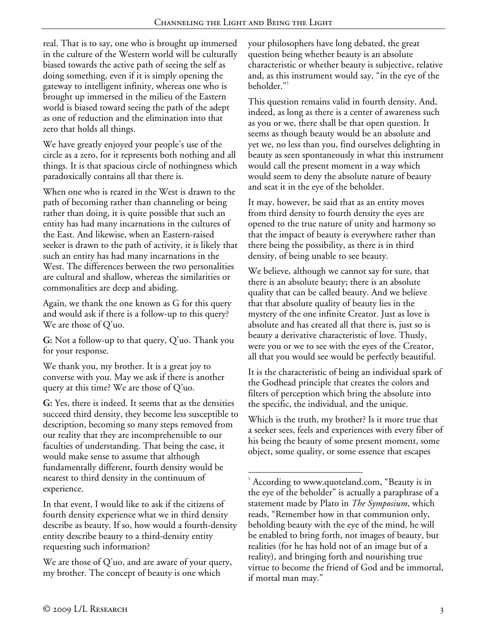$\overline{a}$ 

real. That is to say, one who is brought up immersed in the culture of the Western world will be culturally biased towards the active path of seeing the self as doing something, even if it is simply opening the gateway to intelligent infinity, whereas one who is brought up immersed in the milieu of the Eastern world is biased toward seeing the path of the adept as one of reduction and the elimination into that zero that holds all things.

We have greatly enjoyed your people's use of the circle as a zero, for it represents both nothing and all things. It is that spacious circle of nothingness which paradoxically contains all that there is.

When one who is reared in the West is drawn to the path of becoming rather than channeling or being rather than doing, it is quite possible that such an entity has had many incarnations in the cultures of the East. And likewise, when an Eastern-raised seeker is drawn to the path of activity, it is likely that such an entity has had many incarnations in the West. The differences between the two personalities are cultural and shallow, whereas the similarities or commonalities are deep and abiding.

Again, we thank the one known as G for this query and would ask if there is a follow-up to this query? We are those of Q'uo.

**G:** Not a follow-up to that query, Q'uo. Thank you for your response.

We thank you, my brother. It is a great joy to converse with you. May we ask if there is another query at this time? We are those of Q'uo.

**G:** Yes, there is indeed. It seems that as the densities succeed third density, they become less susceptible to description, becoming so many steps removed from our reality that they are incomprehensible to our faculties of understanding. That being the case, it would make sense to assume that although fundamentally different, fourth density would be nearest to third density in the continuum of experience.

In that event, I would like to ask if the citizens of fourth density experience what we in third density describe as beauty. If so, how would a fourth-density entity describe beauty to a third-density entity requesting such information?

We are those of  $Q'$ uo, and are aware of your query, my brother. The concept of beauty is one which

your philosophers have long debated, the great question being whether beauty is an absolute characteristic or whether beauty is subjective, relative and, as this instrument would say, "in the eye of the beholder."<sup>1</sup>

This question remains valid in fourth density. And, indeed, as long as there is a center of awareness such as you or we, there shall be that open question. It seems as though beauty would be an absolute and yet we, no less than you, find ourselves delighting in beauty as seen spontaneously in what this instrument would call the present moment in a way which would seem to deny the absolute nature of beauty and seat it in the eye of the beholder.

It may, however, be said that as an entity moves from third density to fourth density the eyes are opened to the true nature of unity and harmony so that the impact of beauty is everywhere rather than there being the possibility, as there is in third density, of being unable to see beauty.

We believe, although we cannot say for sure, that there is an absolute beauty; there is an absolute quality that can be called beauty. And we believe that that absolute quality of beauty lies in the mystery of the one infinite Creator. Just as love is absolute and has created all that there is, just so is beauty a derivative characteristic of love. Thusly, were you or we to see with the eyes of the Creator, all that you would see would be perfectly beautiful.

It is the characteristic of being an individual spark of the Godhead principle that creates the colors and filters of perception which bring the absolute into the specific, the individual, and the unique.

Which is the truth, my brother? Is it more true that a seeker sees, feels and experiences with every fiber of his being the beauty of some present moment, some object, some quality, or some essence that escapes

<sup>&</sup>lt;sup>1</sup> According to www.quoteland.com, "Beauty is in the eye of the beholder" is actually a paraphrase of a statement made by Plato in *The Symposium*, which reads, "Remember how in that communion only, beholding beauty with the eye of the mind, he will be enabled to bring forth, not images of beauty, but realities (for he has hold not of an image but of a reality), and bringing forth and nourishing true virtue to become the friend of God and be immortal, if mortal man may."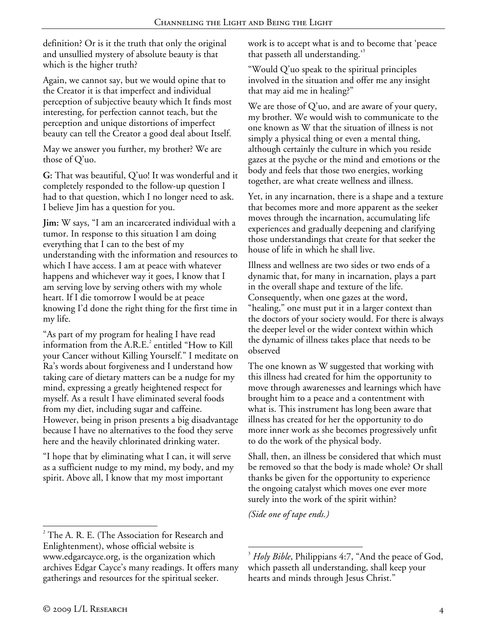definition? Or is it the truth that only the original and unsullied mystery of absolute beauty is that which is the higher truth?

Again, we cannot say, but we would opine that to the Creator it is that imperfect and individual perception of subjective beauty which It finds most interesting, for perfection cannot teach, but the perception and unique distortions of imperfect beauty can tell the Creator a good deal about Itself.

May we answer you further, my brother? We are those of Q'uo.

**G:** That was beautiful, Q'uo! It was wonderful and it completely responded to the follow-up question I had to that question, which I no longer need to ask. I believe Jim has a question for you.

**Jim:** W says, "I am an incarcerated individual with a tumor. In response to this situation I am doing everything that I can to the best of my understanding with the information and resources to which I have access. I am at peace with whatever happens and whichever way it goes, I know that I am serving love by serving others with my whole heart. If I die tomorrow I would be at peace knowing I'd done the right thing for the first time in my life.

"As part of my program for healing I have read information from the  $A.R.E.<sup>2</sup>$  entitled "How to Kill your Cancer without Killing Yourself." I meditate on Ra's words about forgiveness and I understand how taking care of dietary matters can be a nudge for my mind, expressing a greatly heightened respect for myself. As a result I have eliminated several foods from my diet, including sugar and caffeine. However, being in prison presents a big disadvantage because I have no alternatives to the food they serve here and the heavily chlorinated drinking water.

"I hope that by eliminating what I can, it will serve as a sufficient nudge to my mind, my body, and my spirit. Above all, I know that my most important

work is to accept what is and to become that 'peace that passeth all understanding.<sup>35</sup>

"Would Q'uo speak to the spiritual principles involved in the situation and offer me any insight that may aid me in healing?"

We are those of Q'uo, and are aware of your query, my brother. We would wish to communicate to the one known as W that the situation of illness is not simply a physical thing or even a mental thing, although certainly the culture in which you reside gazes at the psyche or the mind and emotions or the body and feels that those two energies, working together, are what create wellness and illness.

Yet, in any incarnation, there is a shape and a texture that becomes more and more apparent as the seeker moves through the incarnation, accumulating life experiences and gradually deepening and clarifying those understandings that create for that seeker the house of life in which he shall live.

Illness and wellness are two sides or two ends of a dynamic that, for many in incarnation, plays a part in the overall shape and texture of the life. Consequently, when one gazes at the word, "healing," one must put it in a larger context than the doctors of your society would. For there is always the deeper level or the wider context within which the dynamic of illness takes place that needs to be observed

The one known as W suggested that working with this illness had created for him the opportunity to move through awarenesses and learnings which have brought him to a peace and a contentment with what is. This instrument has long been aware that illness has created for her the opportunity to do more inner work as she becomes progressively unfit to do the work of the physical body.

Shall, then, an illness be considered that which must be removed so that the body is made whole? Or shall thanks be given for the opportunity to experience the ongoing catalyst which moves one ever more surely into the work of the spirit within?

*(Side one of tape ends.)* 

<sup>1</sup>  $2^2$  The A. R. E. (The Association for Research and Enlightenment), whose official website is www.edgarcayce.org, is the organization which archives Edgar Cayce's many readings. It offers many gatherings and resources for the spiritual seeker.

 $\overline{a}$ <sup>3</sup> Holy Bible, Philippians 4:7, "And the peace of God, which passeth all understanding, shall keep your hearts and minds through Jesus Christ."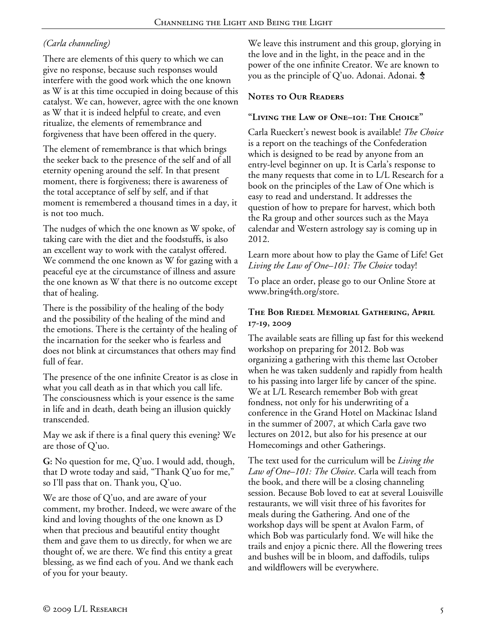# *(Carla channeling)*

There are elements of this query to which we can give no response, because such responses would interfere with the good work which the one known as W is at this time occupied in doing because of this catalyst. We can, however, agree with the one known as W that it is indeed helpful to create, and even ritualize, the elements of remembrance and forgiveness that have been offered in the query.

The element of remembrance is that which brings the seeker back to the presence of the self and of all eternity opening around the self. In that present moment, there is forgiveness; there is awareness of the total acceptance of self by self, and if that moment is remembered a thousand times in a day, it is not too much.

The nudges of which the one known as W spoke, of taking care with the diet and the foodstuffs, is also an excellent way to work with the catalyst offered. We commend the one known as W for gazing with a peaceful eye at the circumstance of illness and assure the one known as W that there is no outcome except that of healing.

There is the possibility of the healing of the body and the possibility of the healing of the mind and the emotions. There is the certainty of the healing of the incarnation for the seeker who is fearless and does not blink at circumstances that others may find full of fear.

The presence of the one infinite Creator is as close in what you call death as in that which you call life. The consciousness which is your essence is the same in life and in death, death being an illusion quickly transcended.

May we ask if there is a final query this evening? We are those of Q'uo.

**G:** No question for me, Q'uo. I would add, though, that D wrote today and said, "Thank Q'uo for me," so I'll pass that on. Thank you, Q'uo.

We are those of Q'uo, and are aware of your comment, my brother. Indeed, we were aware of the kind and loving thoughts of the one known as D when that precious and beautiful entity thought them and gave them to us directly, for when we are thought of, we are there. We find this entity a great blessing, as we find each of you. And we thank each of you for your beauty.

We leave this instrument and this group, glorying in the love and in the light, in the peace and in the power of the one infinite Creator. We are known to you as the principle of Q'uo. Adonai. Adonai.  $\dot{\bm{z}}$ 

# **Notes to Our Readers**

# **"Living the Law of One–101: The Choice"**

Carla Rueckert's newest book is available! *The Choice* is a report on the teachings of the Confederation which is designed to be read by anyone from an entry-level beginner on up. It is Carla's response to the many requests that come in to L/L Research for a book on the principles of the Law of One which is easy to read and understand. It addresses the question of how to prepare for harvest, which both the Ra group and other sources such as the Maya calendar and Western astrology say is coming up in 2012.

Learn more about how to play the Game of Life! Get *Living the Law of One–101: The Choice* today!

To place an order, please go to our Online Store at www.bring4th.org/store.

## **The Bob Riedel Memorial Gathering, April 17-19, 2009**

The available seats are filling up fast for this weekend workshop on preparing for 2012. Bob was organizing a gathering with this theme last October when he was taken suddenly and rapidly from health to his passing into larger life by cancer of the spine. We at L/L Research remember Bob with great fondness, not only for his underwriting of a conference in the Grand Hotel on Mackinac Island in the summer of 2007, at which Carla gave two lectures on 2012, but also for his presence at our Homecomings and other Gatherings.

The text used for the curriculum will be *Living the Law of One–101: The Choice*. Carla will teach from the book, and there will be a closing channeling session. Because Bob loved to eat at several Louisville restaurants, we will visit three of his favorites for meals during the Gathering. And one of the workshop days will be spent at Avalon Farm, of which Bob was particularly fond. We will hike the trails and enjoy a picnic there. All the flowering trees and bushes will be in bloom, and daffodils, tulips and wildflowers will be everywhere.